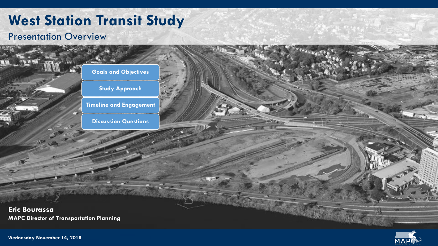# **West Station Transit Study**

#### Presentation Overview





**Wednesday November 14, 2018**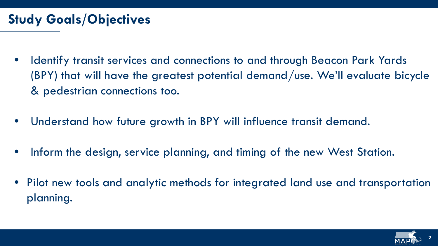### **Study Goals/Objectives**

- Identify transit services and connections to and through Beacon Park Yards (BPY) that will have the greatest potential demand/use. We'll evaluate bicycle & pedestrian connections too.
- Understand how future growth in BPY will influence transit demand.
- Inform the design, service planning, and timing of the new West Station.
- Pilot new tools and analytic methods for integrated land use and transportation planning.

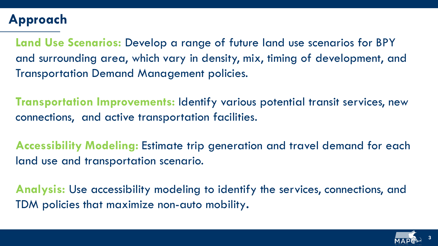# **Approach**

**Land Use Scenarios:** Develop a range of future land use scenarios for BPY and surrounding area, which vary in density, mix, timing of development, and Transportation Demand Management policies.

**Transportation Improvements:** Identify various potential transit services, new connections, and active transportation facilities.

**Accessibility Modeling:** Estimate trip generation and travel demand for each land use and transportation scenario.

**Analysis:** Use accessibility modeling to identify the services, connections, and TDM policies that maximize non-auto mobility**.**

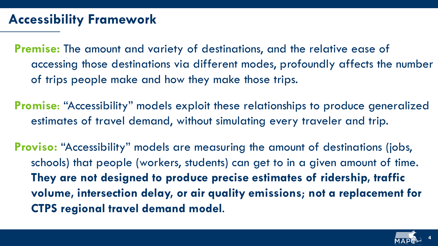### **Accessibility Framework**

**Premise:** The amount and variety of destinations, and the relative ease of accessing those destinations via different modes, profoundly affects the number of trips people make and how they make those trips.

**Promise**: "Accessibility" models exploit these relationships to produce generalized estimates of travel demand, without simulating every traveler and trip.

**Proviso:** "Accessibility" models are measuring the amount of destinations (jobs, schools) that people (workers, students) can get to in a given amount of time. **They are not designed to produce precise estimates of ridership, traffic volume, intersection delay, or air quality emissions**; **not a replacement for CTPS regional travel demand model**.

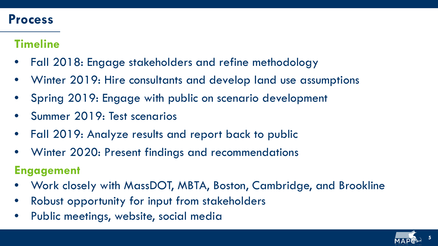#### **Process**

#### **Timeline**

- Fall 2018: Engage stakeholders and refine methodology
- Winter 2019: Hire consultants and develop land use assumptions
- Spring 2019: Engage with public on scenario development
- Summer 2019: Test scenarios
- Fall 2019: Analyze results and report back to public
- Winter 2020: Present findings and recommendations

#### **Engagement**

- Work closely with MassDOT, MBTA, Boston, Cambridge, and Brookline
- Robust opportunity for input from stakeholders
- Public meetings, website, social media